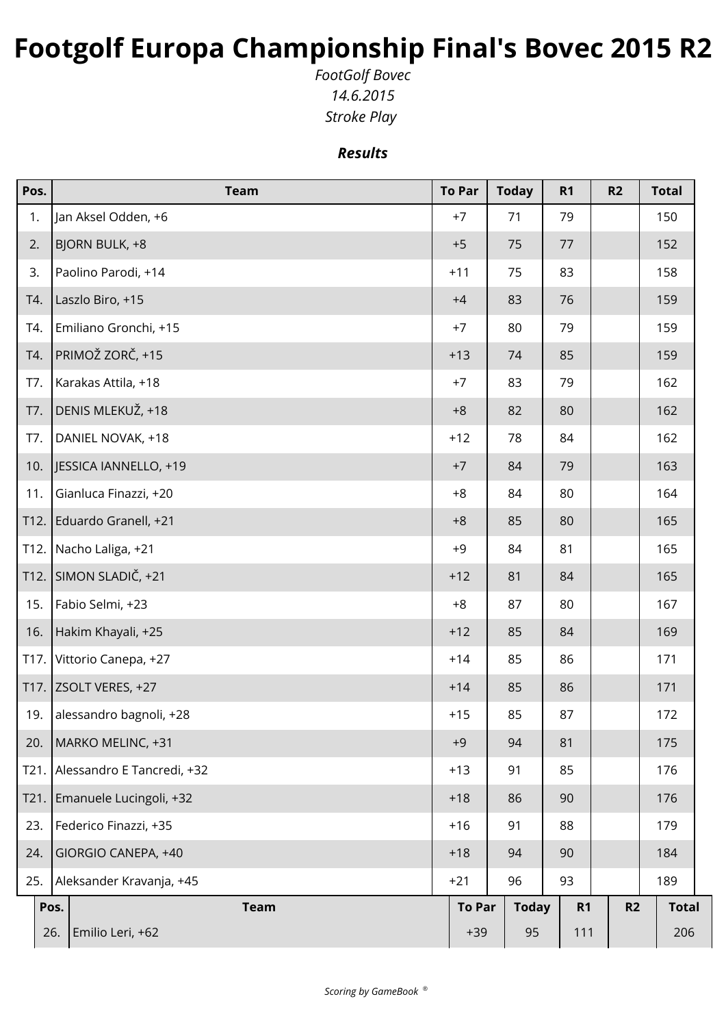## **Footgolf Europa Championship Final's Bovec 2015 R2**

*FootGolf Bovec 14.6.2015 Stroke Play* 

*Results*

| Pos. | <b>Team</b>                | <b>To Par</b> | <b>Today</b> | R <sub>1</sub> | R2 | <b>Total</b> |
|------|----------------------------|---------------|--------------|----------------|----|--------------|
| 1.   | Jan Aksel Odden, +6        | $+7$          | 71           | 79             |    | 150          |
| 2.   | BJORN BULK, +8             | $+5$          | 75           | 77             |    | 152          |
| 3.   | Paolino Parodi, +14        | $+11$         | 75           | 83             |    | 158          |
| T4.  | Laszlo Biro, +15           | $+4$          | 83           | 76             |    | 159          |
| T4.  | Emiliano Gronchi, +15      | $+7$          | 80           | 79             |    | 159          |
| T4.  | PRIMOŽ ZORČ, +15           | $+13$         | 74           | 85             |    | 159          |
| T7.  | Karakas Attila, +18        | $+7$          | 83           | 79             |    | 162          |
| T7.  | DENIS MLEKUŽ, +18          | $+8$          | 82           | 80             |    | 162          |
| T7.  | DANIEL NOVAK, +18          | $+12$         | 78           | 84             |    | 162          |
| 10.  | JESSICA IANNELLO, +19      | $+7$          | 84           | 79             |    | 163          |
| 11.  | Gianluca Finazzi, +20      | $+8$          | 84           | 80             |    | 164          |
| T12. | Eduardo Granell, +21       | $+8$          | 85           | 80             |    | 165          |
| T12. | Nacho Laliga, +21          | $+9$          | 84           | 81             |    | 165          |
| T12. | SIMON SLADIČ, +21          | $+12$         | 81           | 84             |    | 165          |
| 15.  | Fabio Selmi, +23           | $+8$          | 87           | 80             |    | 167          |
| 16.  | Hakim Khayali, +25         | $+12$         | 85           | 84             |    | 169          |
| T17. | Vittorio Canepa, +27       | $+14$         | 85           | 86             |    | 171          |
| T17. | ZSOLT VERES, +27           | $+14$         | 85           | 86             |    | 171          |
| 19.  | alessandro bagnoli, +28    | $+15$         | 85           | 87             |    | 172          |
| 20.  | MARKO MELINC, +31          | $+9$          | 94           | 81             |    | 175          |
| T21. | Alessandro E Tancredi, +32 | $+13$         | 91           | 85             |    | 176          |
| T21. | Emanuele Lucingoli, +32    | $+18$         | 86           | 90             |    | 176          |
| 23.  | Federico Finazzi, +35      | $+16$         | 91           | 88             |    | 179          |
| 24.  | GIORGIO CANEPA, +40        | $+18$         | 94           | 90             |    | 184          |
| 25.  | Aleksander Kravanja, +45   | $+21$         | 96           | 93             |    | 189          |
|      | Pos.<br><b>Team</b>        | <b>To Par</b> | <b>Today</b> | R <sub>1</sub> | R2 | <b>Total</b> |
|      | Emilio Leri, +62<br>26.    | $+39$         | 95           | 111            |    | 206          |